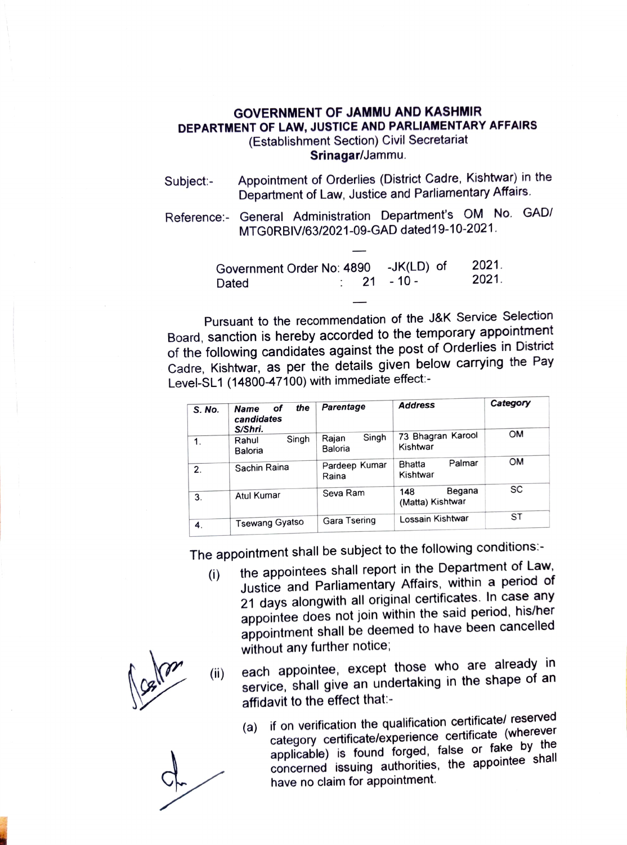## GOVERNMENT OF JAMMU AND KASHMIR DEPARTMENT OF LAW, JUSTICE AND PARLIAMENTARY AFFAIRS (Establishment Section) Civil Secretariat Srinagar/Jammu.

Appointment of Orderlies (District Cadre, Kishtwar) in the Subject:- Appointment of Orderlies (District Cadre, Kisntwar) in<br>Department of Law, Justice and Parliamentary Affairs.

Reference: General Administration Department's OM No. GAD/ MTGORBIV/63/2021-09-GAD dated19-10-2021.

| Government Order No: 4890 -JK(LD) of |  |  |                   | 2021. |
|--------------------------------------|--|--|-------------------|-------|
| Dated                                |  |  | $\cdot$ 21 - 10 - | 2021. |

Pursuant to the recommendation of the J&K Service Selection Board, sanction is hereby accorded to the temporary appointment of the following candidates against the post of Orderlies in District Cadre, Kishtwar, as per the details given below carrying the Pay Level-SL1 (14800-47100) with immediate effect:-

| S. No.        | the<br>of<br><b>Name</b><br>candidates<br>S/Shri. | Parentage                 | <b>Address</b>                      | Category  |
|---------------|---------------------------------------------------|---------------------------|-------------------------------------|-----------|
| $\mathbf 1$ . | Singh<br>Rahul<br>Baloria                         | Singh<br>Rajan<br>Baloria | 73 Bhagran Karool<br>Kishtwar       | OM        |
| 2.            | Sachin Raina                                      | Pardeep Kumar<br>Raina    | Palmar<br><b>Bhatta</b><br>Kishtwar | OM        |
| 3.            | Atul Kumar                                        | Seva Ram                  | Begana<br>148<br>(Matta) Kishtwar   | SC        |
| 4.            | <b>Tsewang Gyatso</b>                             | Gara Tsering              | Lossain Kishtwar                    | <b>ST</b> |

The appointment shall be subject to the following conditions:

- (i) the appointees shall report in the Department of Law, Justice and Parliamentary Affairs, within a period of 21 days alongwith all original certificates. In case any appointee does not join within the said period, his/her appointment shall be deemed to have been cancelled without any further notice;
- each appointee, except those who are already in service, shall give an undertaking in the shape of an affidavit to the effect that:- (i)
	- (a) if on verification the qualification certificate/ reserved category certificate/experience certificate (wherever applicable) is found forged, false or fake by the concerned issuing authorities, the appointee shall have no claim for appointment.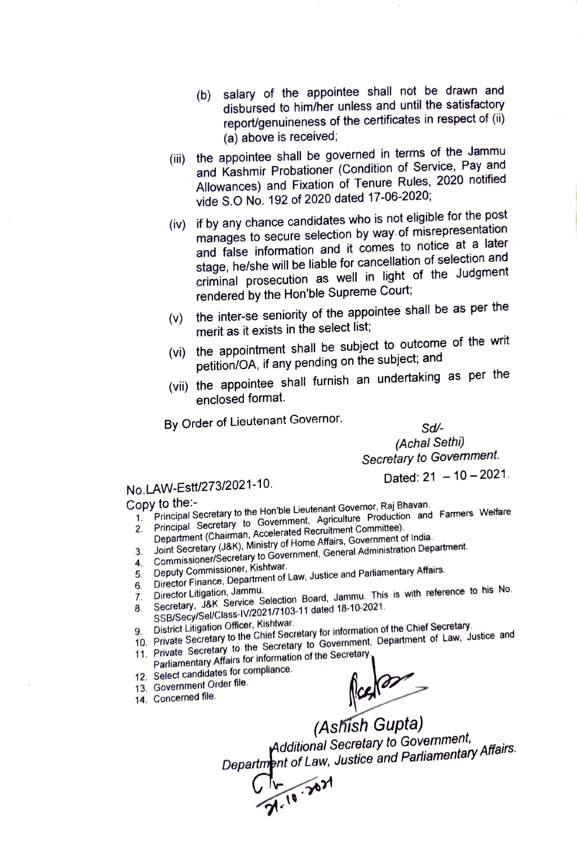- (b) salary of the appointee shall not be drawn and  $($ b) salary of the appointee shall not be drawn and disbursed to him/her unless and until the satisfactory report/genuineness of the certificates in respect of (ii) (a) above is received
- (ii) the appointee shall be governed in terms of the Jammu and Kashmir Probationer (Condition of Service, Pay and Allowances) and Fixation of Tenure Rules, 2020 notified vide S.O No. 192 of 2020 dated 17-06-2020;
- (iv) if by any chance candidates who is not eligible for the post manages to secure selection by way. of misrepresentation and false information and it comes to notice at a later stage, he/she will be liable for cancellation of selection and criminal prosecution as well in light of the Judgment rendered by the Hon'ble Supreme Court;
- (v) the inter-se seniority of the appointee shall be as per the merit as it exists in the select list;
- (vi) the appointment shall be subject to outcome of the writ petition/OA, if any pending on the subject; and
- (vii) the appointee shall furnish an undertaking as per the enclosed format.

By Order of Lieutenant Governor.

Sd-

(Achal Sethi) Secretary to Govemment.

Dated:  $21 - 10 - 2021$ .

## No.LAW-Estt/273/2021-10.

## Copy to the:

- opy to the:-<br>1. Principal Secretary to the Hon'ble Lieutenant Governor, Raj Bhavan.<br>1. Principal Secretary to Covernment Agriculture Production and
- 2. Principal Secretary to Government, Agriculture Production and Farmers Welfare Department (Chairman, Accelerated Recruitment Committee). 3. Joint Secretary (J&K), Ministry of Home Affairs, Government of India.<br>3. Joint Secretary (J&K), Ministry of Home Affairs, Government of India.
- 4. Commissioner/Secretary to Government, General Administration Department.<br>4. Commissioner/Secretary to Government, General Administration Department.
- 
- 5. Deputy Commissioner, Kishtwar.
- 5. Deputy Commissioner, Kisniwar.<br>6. Director Finance, Department of Law, Justice and Parliamentary Affairs.<br>6. Director Litination, Jammu.
- 
- Director Litigation, Jammu.<br>Director Litigation, Jammu.<br>Secretary, J&K Service Selection Board, Jammu. This is with reference to his No.
- 8. Secretary, J&K Service Selection Dollar State 18-10-2021.<br>SSB/Secy/Sel/Class-IV/2021/7103-11 dated 18-10-2021.<br>9. District Litigation Officer, Kishtwar.
	-
- 9. District Litigation Officer, Kishtwar.<br>10. Private Secretary to the Chief Secretary for information of the Chief Secretary.
- 11. Private Secretary to the Secretary to Government, Department of Law, Justice and
- Parliamentary Affairs for information of the Secretary
- 12. Select candidates for compliance.
- 13. Government Order file.
- 14. Concerned file.

Actional Secretary to Government, Additional Secretary to Government, Additional Secretary to Secretary Affairs.<br>Department of Law, Justice and Parliamentary Affairs.

Ch 21.10 21